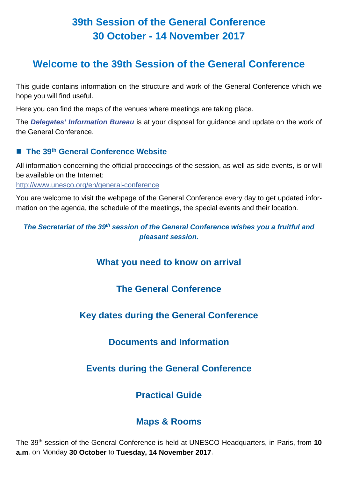# **39th Session of the General Conference 30 October - 14 November 2017**

# **Welcome to the 39th Session of the General Conference**

This guide contains information on the structure and work of the General Conference which we hope you will find useful.

Here you can find the maps of the venues where meetings are taking place.

The *Delegates' Information Bureau* is at your disposal for guidance and update on the work of the General Conference.

## ■ The 39<sup>th</sup> General Conference Website

All information concerning the official proceedings of the session, as well as side events, is or will be available on the Internet:

<http://www.unesco.org/en/general-conference>

You are welcome to visit the webpage of the General Conference every day to get updated information on the agenda, the schedule of the meetings, the special events and their location.

*The Secretariat of the 39th session of the General Conference wishes you a fruitful and pleasant session.*

# **What you need to know on arrival**

# **The General Conference**

# **Key dates during the General Conference**

# **Documents and Information**

# **Events during the General Conference**

# **Practical Guide**

# **Maps & Rooms**

The 39th session of the General Conference is held at UNESCO Headquarters, in Paris, from **10 a.m**. on Monday **30 October** to **Tuesday, 14 November 2017**.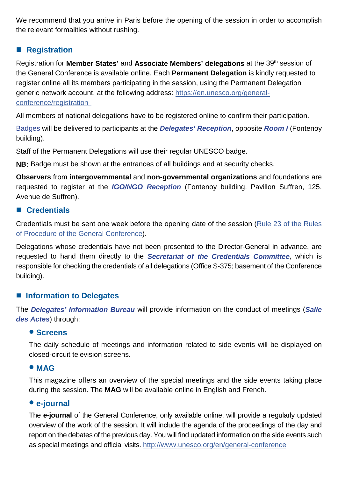We recommend that you arrive in Paris before the opening of the session in order to accomplish the relevant formalities without rushing.

## ■ Registration

Registration for **Member States'** and **Associate Members' delegations** at the 39th session of the General Conference is available online. Each **Permanent Delegation** is kindly requested to register online all its members participating in the session, using the Permanent Delegation generic network account, at the following address: https://en.unesco.org/generalconference/registration

All members of national delegations have to be registered online to confirm their participation.

Badges will be delivered to participants at the *Delegates' Reception*, opposite *Room I* (Fontenoy building).

Staff of the Permanent Delegations will use their regular UNESCO badge.

**NB:** Badge must be shown at the entrances of all buildings and at security checks.

**Observers** from **intergovernmental** and **non-governmental organizations** and foundations are requested to register at the *IGO/NGO Reception* (Fontenoy building, Pavillon Suffren, 125, Avenue de Suffren).

## **Credentials**

Credentials must be sent one week before the opening date of the session (Rule 23 of the Rules of Procedure of the General Conference).

Delegations whose credentials have not been presented to the Director-General in advance, are requested to hand them directly to the *Secretariat of the Credentials Committee*, which is responsible for checking the credentials of all delegations (Office S-375; basement of the Conference building).

### ■ Information to Delegates

The *Delegates' Information Bureau* will provide information on the conduct of meetings (*Salle des Actes*) through:

### **Screens**

The daily schedule of meetings and information related to side events will be displayed on closed-circuit television screens.

### **MAG**

This magazine offers an overview of the special meetings and the side events taking place during the session. The **MAG** will be available online in English and French.

### **e-journal**

The **e-journal** of the General Conference, only available online, will provide a regularly updated overview of the work of the session. It will include the agenda of the proceedings of the day and report on the debates of the previous day. You will find updated information on the side events such as special meetings and official visits. http://www.unesco.org/en/general-conference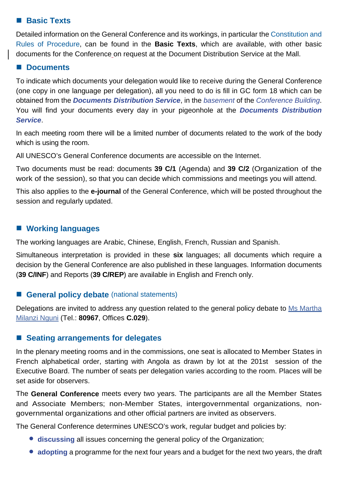## **Basic Texts**

Detailed information on the General Conference and its workings, in particular the Constitution and Rules of Procedure, can be found in the **Basic Texts**, which are available, with other basic documents for the Conference on request at the Document Distribution Service at the Mall.

### **Documents**

To indicate which documents your delegation would like to receive during the General Conference (one copy in one language per delegation), all you need to do is fill in GC form 18 which can be obtained from the *Documents Distribution Service*, in the *basement* of the *Conference Building*. You will find your documents every day in your pigeonhole at the *Documents Distribution Service*.

In each meeting room there will be a limited number of documents related to the work of the body which is using the room.

All UNESCO's General Conference documents are accessible on the Internet.

Two documents must be read: documents **39 C/1** (Agenda) and **39 C/2** (Organization of the work of the session), so that you can decide which commissions and meetings you will attend.

This also applies to the **e-journal** of the General Conference, which will be posted throughout the session and regularly updated.

## **Working languages**

The working languages are Arabic, Chinese, English, French, Russian and Spanish.

Simultaneous interpretation is provided in these **six** languages; all documents which require a decision by the General Conference are also published in these languages. Information documents (**39 C/INF**) and Reports (**39 C/REP**) are available in English and French only.

### ■ **General policy debate** (national statements)

Delegations are invited to address any question related to the general policy debate to [Ms M](mailto:c.thiounn%40unesco.org?subject=General%20policy%20debate%20%28national%20statements%29)artha Milanzi Nguni (Tel.: **80967**, Offices **C.029**).

## **Seating arrangements for delegates**

In the plenary meeting rooms and in the commissions, one seat is allocated to Member States in French alphabetical order, starting with Angola as drawn by lot at the 201st session of the Executive Board. The number of seats per delegation varies according to the room. Places will be set aside for observers.

The **General Conference** meets every two years. The participants are all the Member States and Associate Members; non-Member States, intergovernmental organizations, nongovernmental organizations and other official partners are invited as observers.

The General Conference determines UNESCO's work, regular budget and policies by:

- **discussing** all issues concerning the general policy of the Organization;
- **adopting** a programme for the next four years and a budget for the next two years, the draft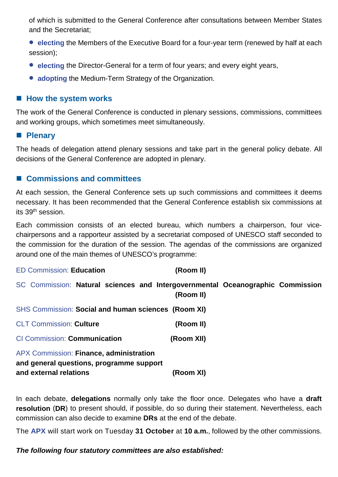of which is submitted to the General Conference after consultations between Member States and the Secretariat;

- **e** electing the Members of the Executive Board for a four-year term (renewed by half at each session);
- **electing** the Director-General for a term of four years; and every eight years,
- **adopting** the Medium-Term Strategy of the Organization.

### ■ How the system works

The work of the General Conference is conducted in plenary sessions, commissions, committees and working groups, which sometimes meet simultaneously.

#### **Plenary**

The heads of delegation attend plenary sessions and take part in the general policy debate. All decisions of the General Conference are adopted in plenary.

### ■ Commissions and committees

At each session, the General Conference sets up such commissions and committees it deems necessary. It has been recommended that the General Conference establish six commissions at its 39th session.

Each commission consists of an elected bureau, which numbers a chairperson, four vicechairpersons and a rapporteur assisted by a secretariat composed of UNESCO staff seconded to the commission for the duration of the session. The agendas of the commissions are organized around one of the main themes of UNESCO's programme:

| <b>ED Commission: Education</b> | (Room II) |
|---------------------------------|-----------|
|---------------------------------|-----------|

SC Commission: **Natural sciences and Intergovernmental Oceanographic Commission**

| and external relations                              | (Room XI)  |  |
|-----------------------------------------------------|------------|--|
| and general questions, programme support            |            |  |
| APX Commission: Finance, administration             |            |  |
| <b>CI Commission: Communication</b>                 | (Room XII) |  |
| <b>CLT Commission: Culture</b>                      | (Room II)  |  |
| SHS Commission: Social and human sciences (Room XI) |            |  |
|                                                     | (Room II)  |  |

In each debate, **delegations** normally only take the floor once. Delegates who have a **draft resolution** (**DR**) to present should, if possible, do so during their statement. Nevertheless, each commission can also decide to examine **DRs** at the end of the debate.

The **APX** will start work on Tuesday **31 October** at **10 a.m.**, followed by the other commissions.

#### *The following four statutory committees are also established:*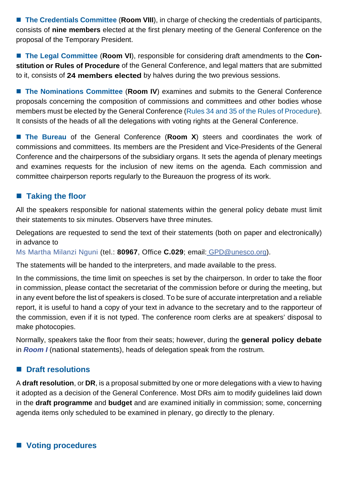■ The Credentials Committee (Room VIII), in charge of checking the credentials of participants, consists of **nine members** elected at the first plenary meeting of the General Conference on the proposal of the Temporary President.

■ The Legal Committee (Room VI), responsible for considering draft amendments to the Con**stitution or Rules of Procedure** of the General Conference, and legal matters that are submitted to it, consists of **24 members elected** by halves during the two previous sessions.

■ The Nominations Committee (Room IV) examines and submits to the General Conference proposals concerning the composition of commissions and committees and other bodies whose members must be elected by the General Conference (Rules 34 and 35 of the Rules of Procedure). It consists of the heads of all the delegations with voting rights at the General Conference.

■ The Bureau of the General Conference (**Room X**) steers and coordinates the work of commissions and committees. Its members are the President and Vice-Presidents of the General Conference and the chairpersons of the subsidiary organs. It sets the agenda of plenary meetings and examines requests for the inclusion of new items on the agenda. Each commission and committee chairperson reports regularly to the Bureauon the progress of its work.

## ■ Taking the floor

All the speakers responsible for national statements within the general policy debate must limit their statements to six minutes. Observers have three minutes.

Delegations are requested to send the text of their statements (both on paper and electronically) in advance to

Ms Martha Milanzi Nguni (tel.: **80967**, Office **C.029**; email: GPD@unesco.org).

The statements will be handed to the interpreters, and made available to the press.

In the commissions, the time limit on speeches is set by the chairperson. In order to take the floor in commission, please contact the secretariat of the commission before or during the meeting, but in any event before the list of speakers is closed. To be sure of accurate interpretation and a reliable report, it is useful to hand a copy of your text in advance to the secretary and to the rapporteur of the commission, even if it is not typed. The conference room clerks are at speakers' disposal to make photocopies.

Normally, speakers take the floor from their seats; however, during the **general policy debate** in *Room I* (national statements), heads of delegation speak from the rostrum.

## ■ Draft resolutions

A **draft resolution**, or **DR**, is a proposal submitted by one or more delegations with a view to having it adopted as a decision of the General Conference. Most DRs aim to modify guidelines laid down in the **draft programme** and **budget** and are examined initially in commission; some, concerning agenda items only scheduled to be examined in plenary, go directly to the plenary.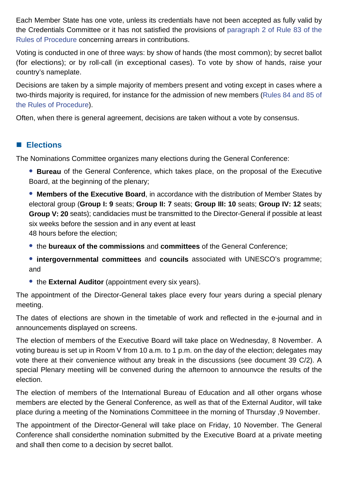Each Member State has one vote, unless its credentials have not been accepted as fully valid by the Credentials Committee or it has not satisfied the provisions of paragraph 2 of Rule 83 of the Rules of Procedure concerning arrears in contributions.

Voting is conducted in one of three ways: by show of hands (the most common); by secret ballot (for elections); or by roll-call (in exceptional cases). To vote by show of hands, raise your country's nameplate.

Decisions are taken by a simple majority of members present and voting except in cases where a two-thirds majority is required, for instance for the admission of new members (Rules 84 and 85 of the Rules of Procedure).

Often, when there is general agreement, decisions are taken without a vote by consensus.

## **Elections**

The Nominations Committee organizes many elections during the General Conference:

- **Bureau** of the General Conference, which takes place, on the proposal of the Executive Board, at the beginning of the plenary;
- **Members of the Executive Board**, in accordance with the distribution of Member States by electoral group (**Group I: 9** seats; **Group II: 7** seats; **Group III: 10** seats; **Group IV: 12** seats; **Group V: 20** seats); candidacies must be transmitted to the Director-General if possible at least six weeks before the session and in any event at least 48 hours before the election;
- the **bureaux of the commissions** and **committees** of the General Conference;
- **intergovernmental committees** and **councils** associated with UNESCO's programme; and
- **the External Auditor** (appointment every six years).

The appointment of the Director-General takes place every four years during a special plenary meeting.

The dates of elections are shown in the timetable of work and reflected in the e-journal and in announcements displayed on screens.

The election of members of the Executive Board will take place on Wednesday, 8 November. A voting bureau is set up in Room V from 10 a.m. to 1 p.m. on the day of the election; delegates may vote there at their convenience without any break in the discussions (see document 39 C/2). A special Plenary meetiing will be convened during the afternoon to announvce the results of the election.

The election of members of the International Bureau of Education and all other organs whose members are elected by the General Conference, as well as that of the External Auditor, will take place during a meeting of the Nominations Committeee in the morning of Thursday ,9 November.

The appointment of the Director-General will take place on Friday, 10 November. The General Conference shall considerthe nomination submitted by the Executive Board at a private meeting and shall then come to a decision by secret ballot.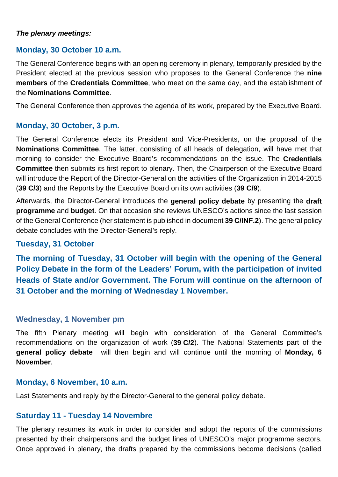#### *The plenary meetings:*

### **Monday, 30 October 10 a.m.**

The General Conference begins with an opening ceremony in plenary, temporarily presided by the President elected at the previous session who proposes to the General Conference the **nine members** of the **Credentials Committee**, who meet on the same day, and the establishment of the **Nominations Committee**.

The General Conference then approves the agenda of its work, prepared by the Executive Board.

#### **Monday, 30 October, 3 p.m.**

The General Conference elects its President and Vice-Presidents, on the proposal of the **Nominations Committee**. The latter, consisting of all heads of delegation, will have met that morning to consider the Executive Board's recommendations on the issue. The **Credentials Committee** then submits its first report to plenary. Then, the Chairperson of the Executive Board will introduce the Report of the Director-General on the activities of the Organization in 2014-2015 (**39 C/3**) and the Reports by the Executive Board on its own activities (**39 C/9**).

Afterwards, the Director-General introduces the **general policy debate** by presenting the **draft programme** and **budget**. On that occasion she reviews UNESCO's actions since the last session of the General Conference (her statement is published in document **39 C/INF.2**). The general policy debate concludes with the Director-General's reply.

#### **Tuesday, 31 October**

**The morning of Tuesday, 31 October will begin with the opening of the General Policy Debate in the form of the Leaders' Forum, with the participation of invited Heads of State and/or Government. The Forum will continue on the afternoon of 31 October and the morning of Wednesday 1 November.**

# **Wednesday, 1 November pm**

The fifth Plenary meeting will begin with consideration of the General Committee's recommendations on the organization of work (**39 C/2**). The National Statements part of the **general policy debate** will then begin and will continue until the morning of **Monday, 6 November**.

#### **Monday, 6 November, 10 a.m.**

Last Statements and reply by the Director-General to the general policy debate.

#### **Saturday 11 - Tuesday 14 Novembre**

The plenary resumes its work in order to consider and adopt the reports of the commissions presented by their chairpersons and the budget lines of UNESCO's major programme sectors. Once approved in plenary, the drafts prepared by the commissions become decisions (called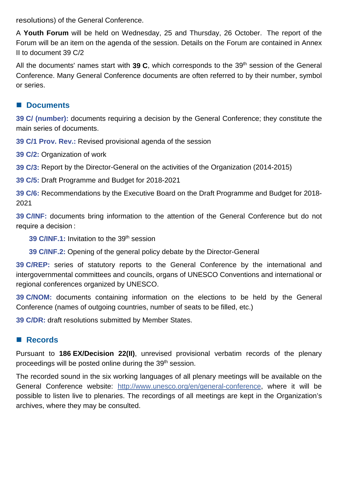resolutions) of the General Conference.

A **Youth Forum** will be held on Wednesday, 25 and Thursday, 26 October. The report of the Forum will be an item on the agenda of the session. Details on the Forum are contained in Annex II to document 39 C/2

All the documents' names start with **39 C**, which corresponds to the 39th session of the General Conference. Many General Conference documents are often referred to by their number, symbol or series.

## ■ Documents

**39 C/ (number):** documents requiring a decision by the General Conference; they constitute the main series of documents.

**39 C/1 Prov. Rev.:** Revised provisional agenda of the session

**39 C/2:** Organization of work

**39 C/3:** Report by the Director-General on the activities of the Organization (2014-2015)

**39 C/5:** Draft Programme and Budget for 2018-2021

**39 C/6:** Recommendations by the Executive Board on the Draft Programme and Budget for 2018- 2021

**39 C/INF:** documents bring information to the attention of the General Conference but do not require a decision :

**39 C/INF.1:** Invitation to the 39th session

**39 C/INF.2:** Opening of the general policy debate by the Director-General

**39 C/REP:** series of statutory reports to the General Conference by the international and intergovernmental committees and councils, organs of UNESCO Conventions and international or regional conferences organized by UNESCO.

**39 C/NOM:** documents containing information on the elections to be held by the General Conference (names of outgoing countries, number of seats to be filled, etc.)

**39 C/DR:** draft resolutions submitted by Member States.

## **Records**

Pursuant to **186 EX/Decision 22(II)**, unrevised provisional verbatim records of the plenary proceedings will be posted online during the 39th session.

The recorded sound in the six working languages of all plenary meetings will be available on the General Conference website: [http://www.unesco.org/en/general-conference,](http://www.unesco.org/en/general-conference) where it will be possible to listen live to plenaries. The recordings of all meetings are kept in the Organization's archives, where they may be consulted.